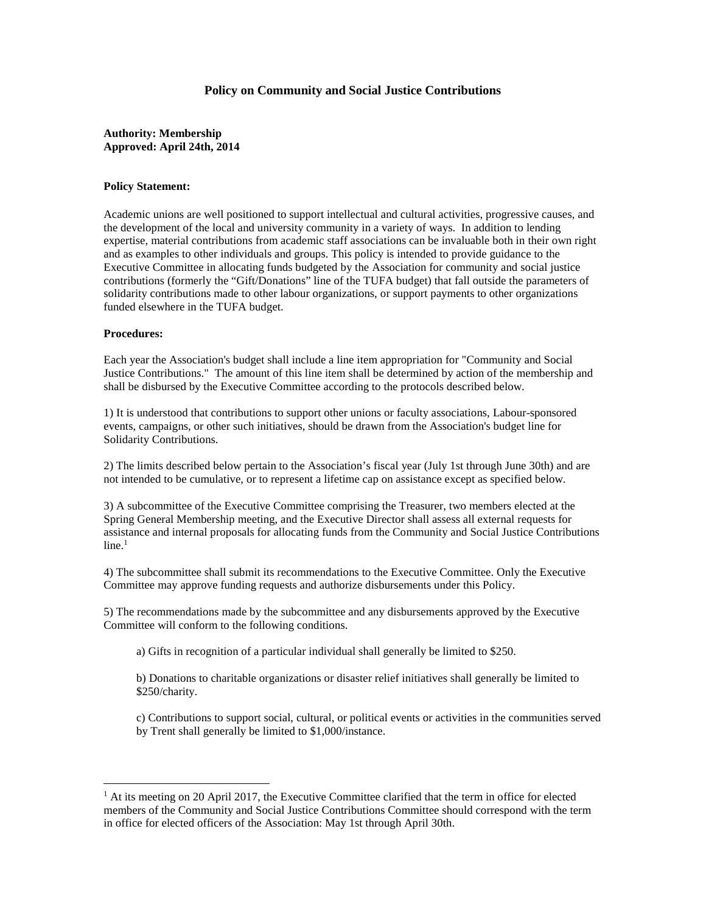## **Policy on Community and Social Justice Contributions**

## **Authority: Membership Approved: April 24th, 2014**

## **Policy Statement:**

Academic unions are well positioned to support intellectual and cultural activities, progressive causes, and the development of the local and university community in a variety of ways. In addition to lending expertise, material contributions from academic staff associations can be invaluable both in their own right and as examples to other individuals and groups. This policy is intended to provide guidance to the Executive Committee in allocating funds budgeted by the Association for community and social justice contributions (formerly the "Gift/Donations" line of the TUFA budget) that fall outside the parameters of solidarity contributions made to other labour organizations, or support payments to other organizations funded elsewhere in the TUFA budget.

## **Procedures:**

<u>.</u>

Each year the Association's budget shall include a line item appropriation for "Community and Social Justice Contributions." The amount of this line item shall be determined by action of the membership and shall be disbursed by the Executive Committee according to the protocols described below.

1) It is understood that contributions to support other unions or faculty associations, Labour-sponsored events, campaigns, or other such initiatives, should be drawn from the Association's budget line for Solidarity Contributions.

2) The limits described below pertain to the Association's fiscal year (July 1st through June 30th) and are not intended to be cumulative, or to represent a lifetime cap on assistance except as specified below.

3) A subcommittee of the Executive Committee comprising the Treasurer, two members elected at the Spring General Membership meeting, and the Executive Director shall assess all external requests for assistance and internal proposals for allocating funds from the Community and Social Justice Contributions  $line<sup>1</sup>$ 

4) The subcommittee shall submit its recommendations to the Executive Committee. Only the Executive Committee may approve funding requests and authorize disbursements under this Policy.

5) The recommendations made by the subcommittee and any disbursements approved by the Executive Committee will conform to the following conditions.

a) Gifts in recognition of a particular individual shall generally be limited to \$250.

b) Donations to charitable organizations or disaster relief initiatives shall generally be limited to \$250/charity.

c) Contributions to support social, cultural, or political events or activities in the communities served by Trent shall generally be limited to \$1,000/instance.

<sup>&</sup>lt;sup>1</sup> At its meeting on 20 April 2017, the Executive Committee clarified that the term in office for elected members of the Community and Social Justice Contributions Committee should correspond with the term in office for elected officers of the Association: May 1st through April 30th.